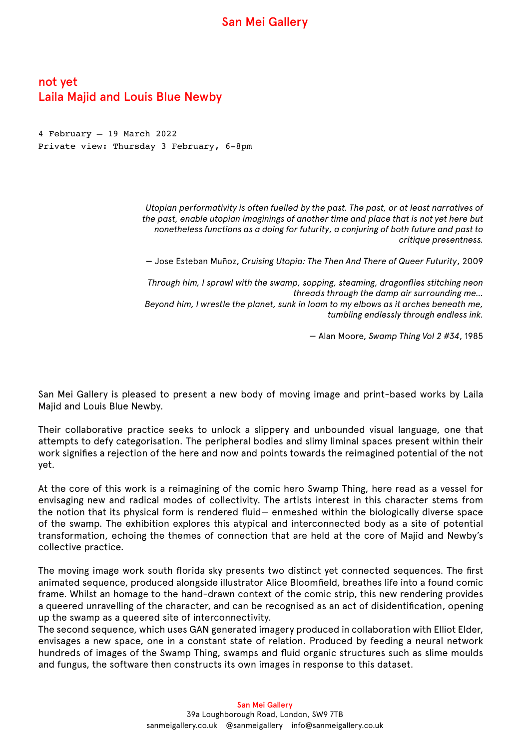## San Mei Gallery

## not yet Laila Majid and Louis Blue Newby

4 February – 19 March 2022 Private view: Thursday 3 February, 6-8pm

> *Utopian performativity is often fuelled by the past. The past, or at least narratives of the past, enable utopian imaginings of another time and place that is not yet here but nonetheless functions as a doing for futurity, a conjuring of both future and past to critique presentness.*

— Jose Esteban Muñoz, *Cruising Utopia: The Then And There of Queer Futurity*, 2009

*Through him, I sprawl with the swamp, sopping, steaming, dragonflies stitching neon threads through the damp air surrounding me… Beyond him, I wrestle the planet, sunk in loam to my elbows as it arches beneath me, tumbling endlessly through endless ink.* 

— Alan Moore, *Swamp Thing Vol 2 #34*, 1985

San Mei Gallery is pleased to present a new body of moving image and print-based works by Laila Majid and Louis Blue Newby.

Their collaborative practice seeks to unlock a slippery and unbounded visual language, one that attempts to defy categorisation. The peripheral bodies and slimy liminal spaces present within their work signifies a rejection of the here and now and points towards the reimagined potential of the not yet.

At the core of this work is a reimagining of the comic hero Swamp Thing, here read as a vessel for envisaging new and radical modes of collectivity. The artists interest in this character stems from the notion that its physical form is rendered fluid— enmeshed within the biologically diverse space of the swamp. The exhibition explores this atypical and interconnected body as a site of potential transformation, echoing the themes of connection that are held at the core of Majid and Newby's collective practice.

The moving image work south florida sky presents two distinct yet connected sequences. The first animated sequence, produced alongside illustrator Alice Bloomfield, breathes life into a found comic frame. Whilst an homage to the hand-drawn context of the comic strip, this new rendering provides a queered unravelling of the character, and can be recognised as an act of disidentification, opening up the swamp as a queered site of interconnectivity.

The second sequence, which uses GAN generated imagery produced in collaboration with Elliot Elder, envisages a new space, one in a constant state of relation. Produced by feeding a neural network hundreds of images of the Swamp Thing, swamps and fluid organic structures such as slime moulds and fungus, the software then constructs its own images in response to this dataset.